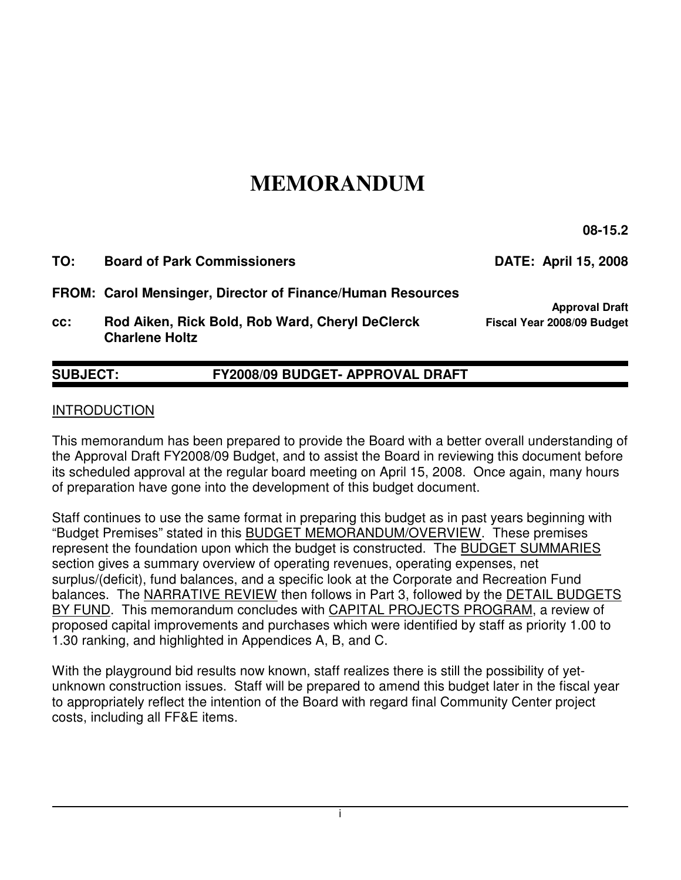# **MEMORANDUM**

 **08-15.2** 

**TO: Board of Park Commissioners DATE: April 15, 2008 FROM: Carol Mensinger, Director of Finance/Human Resources Approval Draft cc: Rod Aiken, Rick Bold, Rob Ward, Cheryl DeClerck Fiscal Year 2008/09 Budget Charlene Holtz** 

## **SUBJECT: FY2008/09 BUDGET- APPROVAL DRAFT**

#### INTRODUCTION

This memorandum has been prepared to provide the Board with a better overall understanding of the Approval Draft FY2008/09 Budget, and to assist the Board in reviewing this document before its scheduled approval at the regular board meeting on April 15, 2008. Once again, many hours of preparation have gone into the development of this budget document.

Staff continues to use the same format in preparing this budget as in past years beginning with "Budget Premises" stated in this BUDGET MEMORANDUM/OVERVIEW. These premises represent the foundation upon which the budget is constructed. The BUDGET SUMMARIES section gives a summary overview of operating revenues, operating expenses, net surplus/(deficit), fund balances, and a specific look at the Corporate and Recreation Fund balances. The NARRATIVE REVIEW then follows in Part 3, followed by the DETAIL BUDGETS BY FUND. This memorandum concludes with CAPITAL PROJECTS PROGRAM, a review of proposed capital improvements and purchases which were identified by staff as priority 1.00 to 1.30 ranking, and highlighted in Appendices A, B, and C.

With the playground bid results now known, staff realizes there is still the possibility of yetunknown construction issues. Staff will be prepared to amend this budget later in the fiscal year to appropriately reflect the intention of the Board with regard final Community Center project costs, including all FF&E items.

i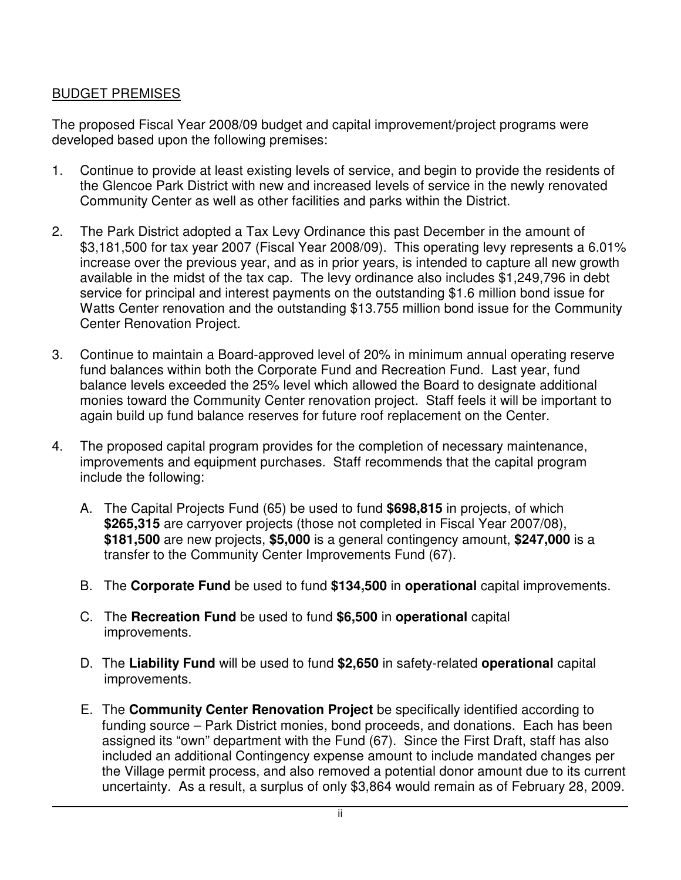## BUDGET PREMISES

The proposed Fiscal Year 2008/09 budget and capital improvement/project programs were developed based upon the following premises:

- 1. Continue to provide at least existing levels of service, and begin to provide the residents of the Glencoe Park District with new and increased levels of service in the newly renovated Community Center as well as other facilities and parks within the District.
- 2. The Park District adopted a Tax Levy Ordinance this past December in the amount of \$3,181,500 for tax year 2007 (Fiscal Year 2008/09). This operating levy represents a 6.01% increase over the previous year, and as in prior years, is intended to capture all new growth available in the midst of the tax cap. The levy ordinance also includes \$1,249,796 in debt service for principal and interest payments on the outstanding \$1.6 million bond issue for Watts Center renovation and the outstanding \$13.755 million bond issue for the Community Center Renovation Project.
- 3. Continue to maintain a Board-approved level of 20% in minimum annual operating reserve fund balances within both the Corporate Fund and Recreation Fund. Last year, fund balance levels exceeded the 25% level which allowed the Board to designate additional monies toward the Community Center renovation project. Staff feels it will be important to again build up fund balance reserves for future roof replacement on the Center.
- 4. The proposed capital program provides for the completion of necessary maintenance, improvements and equipment purchases. Staff recommends that the capital program include the following:
	- A. The Capital Projects Fund (65) be used to fund **\$698,815** in projects, of which **\$265,315** are carryover projects (those not completed in Fiscal Year 2007/08), **\$181,500** are new projects, **\$5,000** is a general contingency amount, **\$247,000** is a transfer to the Community Center Improvements Fund (67).
	- B. The **Corporate Fund** be used to fund **\$134,500** in **operational** capital improvements.
	- C. The **Recreation Fund** be used to fund **\$6,500** in **operational** capital improvements.
	- D. The **Liability Fund** will be used to fund **\$2,650** in safety-related **operational** capital improvements.
	- E. The **Community Center Renovation Project** be specifically identified according to funding source – Park District monies, bond proceeds, and donations. Each has been assigned its "own" department with the Fund (67). Since the First Draft, staff has also included an additional Contingency expense amount to include mandated changes per the Village permit process, and also removed a potential donor amount due to its current uncertainty. As a result, a surplus of only \$3,864 would remain as of February 28, 2009.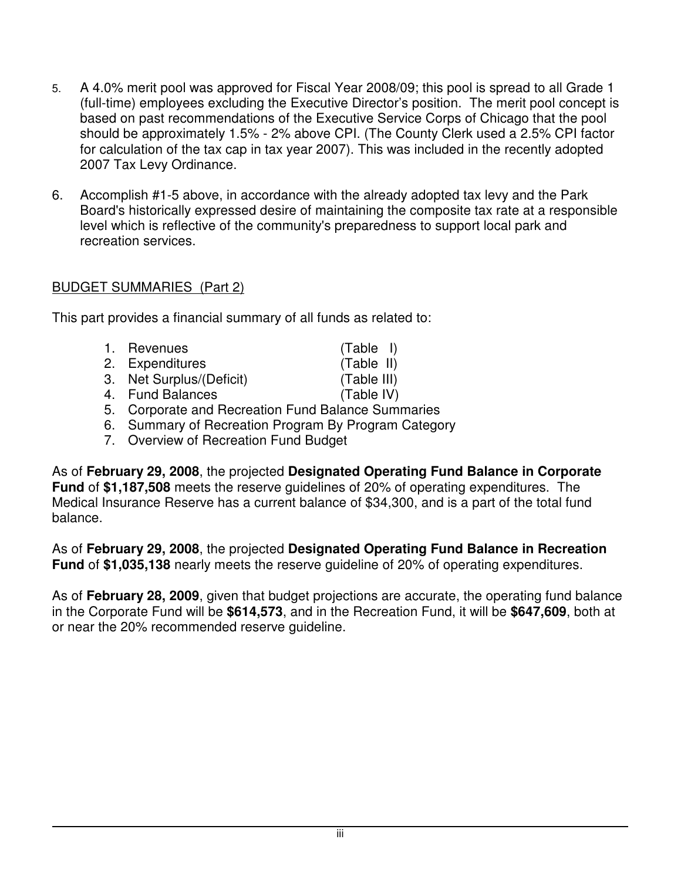- 5. A 4.0% merit pool was approved for Fiscal Year 2008/09; this pool is spread to all Grade 1 (full-time) employees excluding the Executive Director's position. The merit pool concept is based on past recommendations of the Executive Service Corps of Chicago that the pool should be approximately 1.5% - 2% above CPI. (The County Clerk used a 2.5% CPI factor for calculation of the tax cap in tax year 2007). This was included in the recently adopted 2007 Tax Levy Ordinance.
- 6. Accomplish #1-5 above, in accordance with the already adopted tax levy and the Park Board's historically expressed desire of maintaining the composite tax rate at a responsible level which is reflective of the community's preparedness to support local park and recreation services.

#### BUDGET SUMMARIES (Part 2)

This part provides a financial summary of all funds as related to:

| 1. Revenues                                  | $(Table$ I) |
|----------------------------------------------|-------------|
| 2. Expenditures                              | (Table II)  |
| 3. Net Surplus/(Deficit)                     | (Table III) |
| 4. Fund Balances                             | (Table IV)  |
| 5 Corporato and Poercation Fund Balance Summ |             |

- 5. Corporate and Recreation Fund Balance Summaries
- 6. Summary of Recreation Program By Program Category
- 7. Overview of Recreation Fund Budget

As of **February 29, 2008**, the projected **Designated Operating Fund Balance in Corporate Fund** of **\$1,187,508** meets the reserve guidelines of 20% of operating expenditures. The Medical Insurance Reserve has a current balance of \$34,300, and is a part of the total fund balance.

As of **February 29, 2008**, the projected **Designated Operating Fund Balance in Recreation Fund** of **\$1,035,138** nearly meets the reserve guideline of 20% of operating expenditures.

As of **February 28, 2009**, given that budget projections are accurate, the operating fund balance in the Corporate Fund will be **\$614,573**, and in the Recreation Fund, it will be **\$647,609**, both at or near the 20% recommended reserve guideline.